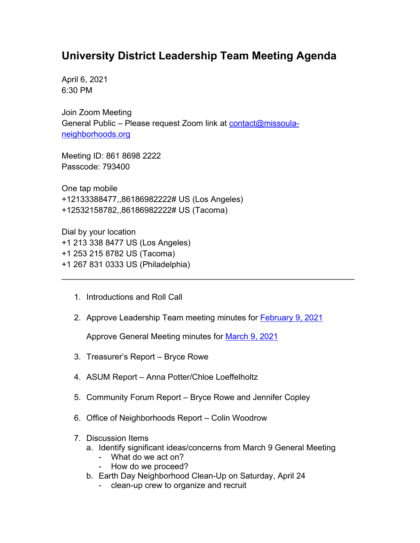## **University District Leadership Team Meeting Agenda**

April 6, 2021 6:30 PM

Join Zoom Meeting General Public - Please request Zoom link at [contact@missoula](mailto:contact@missoula-neighborhoods.org)[neighborhoods.org](mailto:contact@missoula-neighborhoods.org)

Meeting ID: 861 8698 2222 Passcode: 793400

One tap mobile +12133388477,,86186982222# US (Los Angeles) +12532158782,,86186982222# US (Tacoma)

Dial by your location +1 213 338 8477 US (Los Angeles) +1 253 215 8782 US (Tacoma) +1 267 831 0333 US (Philadelphia)

- 1. Introductions and Roll Call
- 2. Approve Leadership Team meeting minutes for [February 9, 2021](https://www.ci.missoula.mt.us/Archive.aspx?ADID=15811)

\_\_\_\_\_\_\_\_\_\_\_\_\_\_\_\_\_\_\_\_\_\_\_\_\_\_\_\_\_\_\_\_\_\_\_\_\_\_\_\_\_\_\_\_\_\_\_\_\_\_\_\_\_\_\_\_\_\_\_\_\_\_\_\_

Approve General Meeting minutes for March [9, 2021](https://www.ci.missoula.mt.us/Archive.aspx?ADID=15888)

- 3. Treasurer's Report Bryce Rowe
- 4. ASUM Report Anna Potter/Chloe Loeffelholtz
- 5. Community Forum Report Bryce Rowe and Jennifer Copley
- 6. Office of Neighborhoods Report Colin Woodrow
- 7. Discussion Items
	- a. Identify significant ideas/concerns from March 9 General Meeting
		- What do we act on?
		- How do we proceed?
	- b. Earth Day Neighborhood Clean-Up on Saturday, April 24
		- clean-up crew to organize and recruit